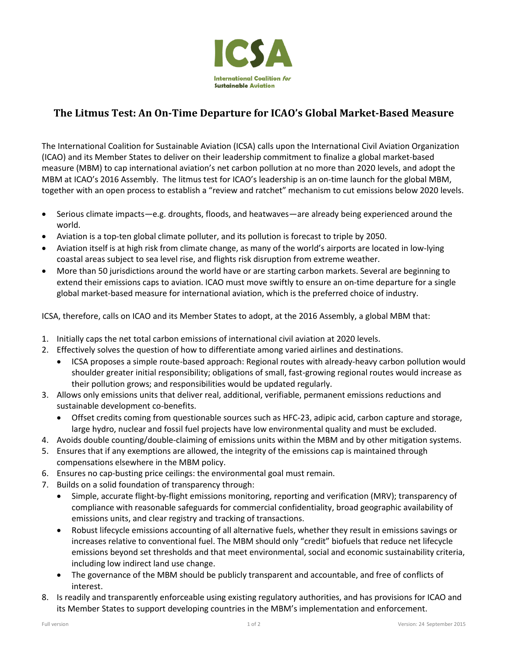

## **The Litmus Test: An On-Time Departure for ICAO's Global Market-Based Measure**

The International Coalition for Sustainable Aviation (ICSA) calls upon the International Civil Aviation Organization (ICAO) and its Member States to deliver on their leadership commitment to finalize a global market-based measure (MBM) to cap international aviation's net carbon pollution at no more than 2020 levels, and adopt the MBM at ICAO's 2016 Assembly. The litmus test for ICAO's leadership is an on-time launch for the global MBM, together with an open process to establish a "review and ratchet" mechanism to cut emissions below 2020 levels.

- Serious climate impacts—e.g. droughts, floods, and heatwaves—are already being experienced around the world.
- Aviation is a top-ten global climate polluter, and its pollution is forecast to triple by 2050.
- Aviation itself is at high risk from climate change, as many of the world's airports are located in low-lying coastal areas subject to sea level rise, and flights risk disruption from extreme weather.
- More than 50 jurisdictions around the world have or are starting carbon markets. Several are beginning to extend their emissions caps to aviation. ICAO must move swiftly to ensure an on-time departure for a single global market-based measure for international aviation, which is the preferred choice of industry.

ICSA, therefore, calls on ICAO and its Member States to adopt, at the 2016 Assembly, a global MBM that:

- 1. Initially caps the net total carbon emissions of international civil aviation at 2020 levels.
- 2. Effectively solves the question of how to differentiate among varied airlines and destinations.
	- ICSA proposes a simple route-based approach: Regional routes with already-heavy carbon pollution would shoulder greater initial responsibility; obligations of small, fast-growing regional routes would increase as their pollution grows; and responsibilities would be updated regularly.
- 3. Allows only emissions units that deliver real, additional, verifiable, permanent emissions reductions and sustainable development co-benefits.
	- Offset credits coming from questionable sources such as HFC-23, adipic acid, carbon capture and storage, large hydro, nuclear and fossil fuel projects have low environmental quality and must be excluded.
- 4. Avoids double counting/double-claiming of emissions units within the MBM and by other mitigation systems.
- 5. Ensures that if any exemptions are allowed, the integrity of the emissions cap is maintained through compensations elsewhere in the MBM policy.
- 6. Ensures no cap-busting price ceilings: the environmental goal must remain.
- 7. Builds on a solid foundation of transparency through:
	- Simple, accurate flight-by-flight emissions monitoring, reporting and verification (MRV); transparency of compliance with reasonable safeguards for commercial confidentiality, broad geographic availability of emissions units, and clear registry and tracking of transactions.
	- Robust lifecycle emissions accounting of all alternative fuels, whether they result in emissions savings or increases relative to conventional fuel. The MBM should only "credit" biofuels that reduce net lifecycle emissions beyond set thresholds and that meet environmental, social and economic sustainability criteria, including low indirect land use change.
	- The governance of the MBM should be publicly transparent and accountable, and free of conflicts of interest.
- 8. Is readily and transparently enforceable using existing regulatory authorities, and has provisions for ICAO and its Member States to support developing countries in the MBM's implementation and enforcement.